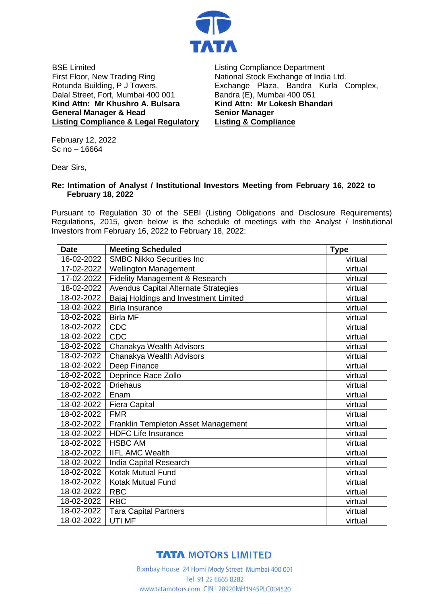

BSE Limited First Floor, New Trading Ring Rotunda Building, P J Towers, Dalal Street, Fort, Mumbai 400 001 **Kind Attn: Mr Khushro A. Bulsara General Manager & Head Listing Compliance & Legal Regulatory**

Listing Compliance Department National Stock Exchange of India Ltd. Exchange Plaza, Bandra Kurla Complex, Bandra (E), Mumbai 400 051 **Kind Attn: Mr Lokesh Bhandari Senior Manager Listing & Compliance**

February 12, 2022 Sc no – 16664

Dear Sirs,

## **Re: Intimation of Analyst / Institutional Investors Meeting from February 16, 2022 to February 18, 2022**

Pursuant to Regulation 30 of the SEBI (Listing Obligations and Disclosure Requirements) Regulations, 2015, given below is the schedule of meetings with the Analyst / Institutional Investors from February 16, 2022 to February 18, 2022:

| <b>Date</b> | <b>Meeting Scheduled</b>              | <b>Type</b> |
|-------------|---------------------------------------|-------------|
| 16-02-2022  | <b>SMBC Nikko Securities Inc.</b>     | virtual     |
| 17-02-2022  | <b>Wellington Management</b>          | virtual     |
| 17-02-2022  | Fidelity Management & Research        | virtual     |
| 18-02-2022  | Avendus Capital Alternate Strategies  | virtual     |
| 18-02-2022  | Bajaj Holdings and Investment Limited | virtual     |
| 18-02-2022  | <b>Birla Insurance</b>                | virtual     |
| 18-02-2022  | <b>Birla MF</b>                       | virtual     |
| 18-02-2022  | <b>CDC</b>                            | virtual     |
| 18-02-2022  | CDC                                   | virtual     |
| 18-02-2022  | Chanakya Wealth Advisors              | virtual     |
| 18-02-2022  | Chanakya Wealth Advisors              | virtual     |
| 18-02-2022  | Deep Finance                          | virtual     |
| 18-02-2022  | Deprince Race Zollo                   | virtual     |
| 18-02-2022  | <b>Driehaus</b>                       | virtual     |
| 18-02-2022  | Enam                                  | virtual     |
| 18-02-2022  | <b>Fiera Capital</b>                  | virtual     |
| 18-02-2022  | <b>FMR</b>                            | virtual     |
| 18-02-2022  | Franklin Templeton Asset Management   | virtual     |
| 18-02-2022  | <b>HDFC Life Insurance</b>            | virtual     |
| 18-02-2022  | <b>HSBC AM</b>                        | virtual     |
| 18-02-2022  | <b>IIFL AMC Wealth</b>                | virtual     |
| 18-02-2022  | India Capital Research                | virtual     |
| 18-02-2022  | Kotak Mutual Fund                     | virtual     |
| 18-02-2022  | Kotak Mutual Fund                     | virtual     |
| 18-02-2022  | <b>RBC</b>                            | virtual     |
| 18-02-2022  | <b>RBC</b>                            | virtual     |
| 18-02-2022  | <b>Tara Capital Partners</b>          | virtual     |
| 18-02-2022  | UTI MF                                | virtual     |

## **TATA MOTORS LIMITED**

Bombay House 24 Homi Mody Street Mumbai 400 001 Tel 91 22 6665 8282 www.tatamotors.com CIN L28920MH1945PLC004520